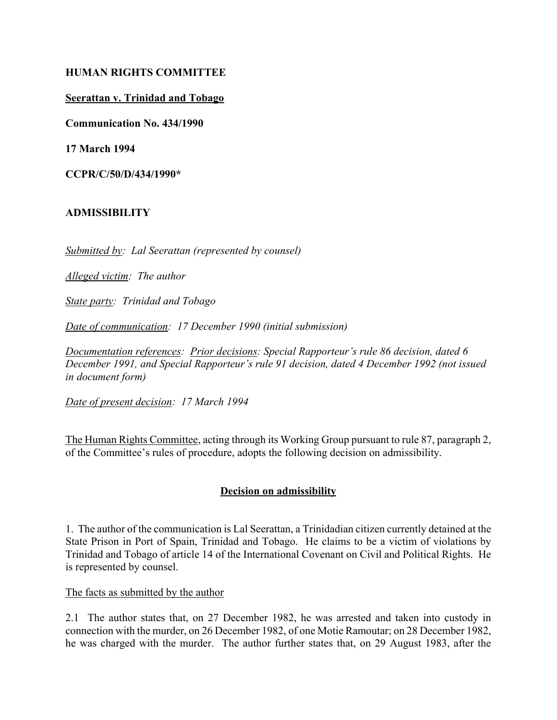### **HUMAN RIGHTS COMMITTEE**

### **Seerattan v. Trinidad and Tobago**

**Communication No. 434/1990**

**17 March 1994**

**CCPR/C/50/D/434/1990\***

## **ADMISSIBILITY**

*Submitted by: Lal Seerattan (represented by counsel)*

*Alleged victim: The author*

*State party: Trinidad and Tobago*

*Date of communication: 17 December 1990 (initial submission)*

*Documentation references: Prior decisions: Special Rapporteur's rule 86 decision, dated 6 December 1991, and Special Rapporteur's rule 91 decision, dated 4 December 1992 (not issued in document form)*

*Date of present decision: 17 March 1994*

The Human Rights Committee, acting through its Working Group pursuant to rule 87, paragraph 2, of the Committee's rules of procedure, adopts the following decision on admissibility.

## **Decision on admissibility**

1. The author of the communication is Lal Seerattan, a Trinidadian citizen currently detained at the State Prison in Port of Spain, Trinidad and Tobago. He claims to be a victim of violations by Trinidad and Tobago of article 14 of the International Covenant on Civil and Political Rights. He is represented by counsel.

The facts as submitted by the author

2.1 The author states that, on 27 December 1982, he was arrested and taken into custody in connection with the murder, on 26 December 1982, of one Motie Ramoutar; on 28 December 1982, he was charged with the murder. The author further states that, on 29 August 1983, after the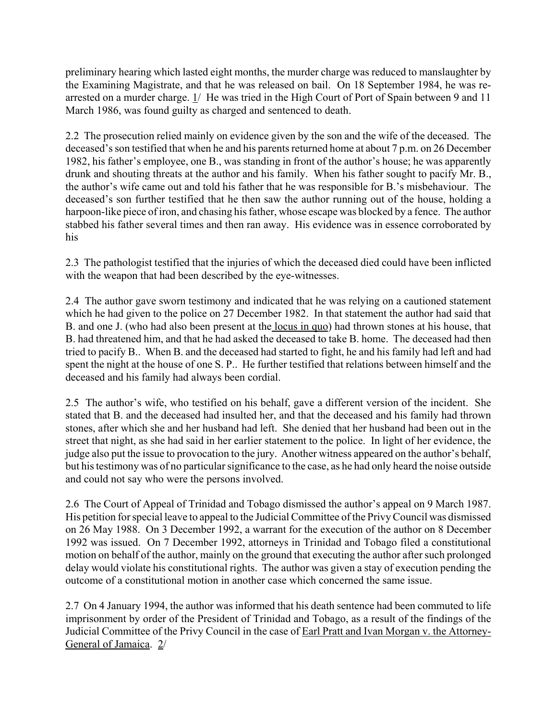preliminary hearing which lasted eight months, the murder charge was reduced to manslaughter by the Examining Magistrate, and that he was released on bail. On 18 September 1984, he was rearrested on a murder charge. 1/ He was tried in the High Court of Port of Spain between 9 and 11 March 1986, was found guilty as charged and sentenced to death.

2.2 The prosecution relied mainly on evidence given by the son and the wife of the deceased. The deceased's son testified that when he and his parents returned home at about 7 p.m. on 26 December 1982, his father's employee, one B., was standing in front of the author's house; he was apparently drunk and shouting threats at the author and his family. When his father sought to pacify Mr. B., the author's wife came out and told his father that he was responsible for B.'s misbehaviour. The deceased's son further testified that he then saw the author running out of the house, holding a harpoon-like piece of iron, and chasing his father, whose escape was blocked by a fence. The author stabbed his father several times and then ran away. His evidence was in essence corroborated by his

2.3 The pathologist testified that the injuries of which the deceased died could have been inflicted with the weapon that had been described by the eye-witnesses.

2.4 The author gave sworn testimony and indicated that he was relying on a cautioned statement which he had given to the police on 27 December 1982. In that statement the author had said that B. and one J. (who had also been present at the locus in quo) had thrown stones at his house, that B. had threatened him, and that he had asked the deceased to take B. home. The deceased had then tried to pacify B.. When B. and the deceased had started to fight, he and his family had left and had spent the night at the house of one S. P.. He further testified that relations between himself and the deceased and his family had always been cordial.

2.5 The author's wife, who testified on his behalf, gave a different version of the incident. She stated that B. and the deceased had insulted her, and that the deceased and his family had thrown stones, after which she and her husband had left. She denied that her husband had been out in the street that night, as she had said in her earlier statement to the police. In light of her evidence, the judge also put the issue to provocation to the jury. Another witness appeared on the author's behalf, but his testimony was of no particular significance to the case, as he had only heard the noise outside and could not say who were the persons involved.

2.6 The Court of Appeal of Trinidad and Tobago dismissed the author's appeal on 9 March 1987. His petition for special leave to appeal to the Judicial Committee of the Privy Council was dismissed on 26 May 1988. On 3 December 1992, a warrant for the execution of the author on 8 December 1992 was issued. On 7 December 1992, attorneys in Trinidad and Tobago filed a constitutional motion on behalf of the author, mainly on the ground that executing the author after such prolonged delay would violate his constitutional rights. The author was given a stay of execution pending the outcome of a constitutional motion in another case which concerned the same issue.

2.7 On 4 January 1994, the author was informed that his death sentence had been commuted to life imprisonment by order of the President of Trinidad and Tobago, as a result of the findings of the Judicial Committee of the Privy Council in the case of Earl Pratt and Ivan Morgan v. the Attorney-General of Jamaica. 2/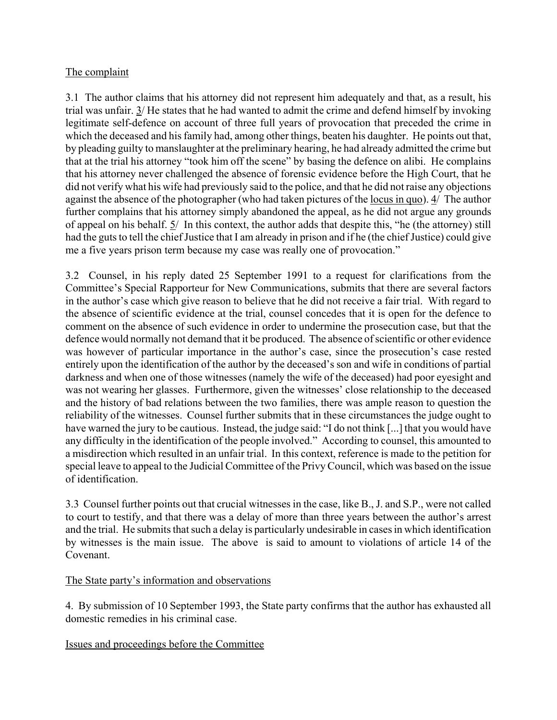# The complaint

3.1 The author claims that his attorney did not represent him adequately and that, as a result, his trial was unfair. 3/ He states that he had wanted to admit the crime and defend himself by invoking legitimate self-defence on account of three full years of provocation that preceded the crime in which the deceased and his family had, among other things, beaten his daughter. He points out that, by pleading guilty to manslaughter at the preliminary hearing, he had already admitted the crime but that at the trial his attorney "took him off the scene" by basing the defence on alibi. He complains that his attorney never challenged the absence of forensic evidence before the High Court, that he did not verify what his wife had previously said to the police, and that he did not raise any objections against the absence of the photographer (who had taken pictures of the locus in quo). 4/ The author further complains that his attorney simply abandoned the appeal, as he did not argue any grounds of appeal on his behalf. 5/ In this context, the author adds that despite this, "he (the attorney) still had the guts to tell the chief Justice that I am already in prison and if he (the chief Justice) could give me a five years prison term because my case was really one of provocation."

3.2 Counsel, in his reply dated 25 September 1991 to a request for clarifications from the Committee's Special Rapporteur for New Communications, submits that there are several factors in the author's case which give reason to believe that he did not receive a fair trial. With regard to the absence of scientific evidence at the trial, counsel concedes that it is open for the defence to comment on the absence of such evidence in order to undermine the prosecution case, but that the defence would normally not demand that it be produced. The absence of scientific or other evidence was however of particular importance in the author's case, since the prosecution's case rested entirely upon the identification of the author by the deceased's son and wife in conditions of partial darkness and when one of those witnesses (namely the wife of the deceased) had poor eyesight and was not wearing her glasses. Furthermore, given the witnesses' close relationship to the deceased and the history of bad relations between the two families, there was ample reason to question the reliability of the witnesses. Counsel further submits that in these circumstances the judge ought to have warned the jury to be cautious. Instead, the judge said: "I do not think [...] that you would have any difficulty in the identification of the people involved." According to counsel, this amounted to a misdirection which resulted in an unfair trial. In this context, reference is made to the petition for special leave to appeal to the Judicial Committee of the Privy Council, which was based on the issue of identification.

3.3 Counsel further points out that crucial witnesses in the case, like B., J. and S.P., were not called to court to testify, and that there was a delay of more than three years between the author's arrest and the trial. He submits that such a delay is particularly undesirable in cases in which identification by witnesses is the main issue. The above is said to amount to violations of article 14 of the Covenant.

## The State party's information and observations

4. By submission of 10 September 1993, the State party confirms that the author has exhausted all domestic remedies in his criminal case.

## Issues and proceedings before the Committee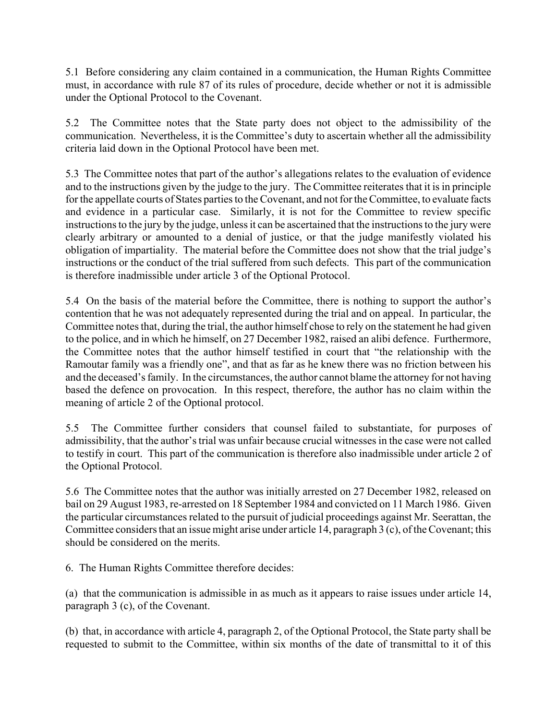5.1 Before considering any claim contained in a communication, the Human Rights Committee must, in accordance with rule 87 of its rules of procedure, decide whether or not it is admissible under the Optional Protocol to the Covenant.

5.2 The Committee notes that the State party does not object to the admissibility of the communication. Nevertheless, it is the Committee's duty to ascertain whether all the admissibility criteria laid down in the Optional Protocol have been met.

5.3 The Committee notes that part of the author's allegations relates to the evaluation of evidence and to the instructions given by the judge to the jury. The Committee reiterates that it is in principle for the appellate courts of States parties to the Covenant, and not for the Committee, to evaluate facts and evidence in a particular case. Similarly, it is not for the Committee to review specific instructions to the jury by the judge, unless it can be ascertained that the instructions to the jury were clearly arbitrary or amounted to a denial of justice, or that the judge manifestly violated his obligation of impartiality. The material before the Committee does not show that the trial judge's instructions or the conduct of the trial suffered from such defects. This part of the communication is therefore inadmissible under article 3 of the Optional Protocol.

5.4 On the basis of the material before the Committee, there is nothing to support the author's contention that he was not adequately represented during the trial and on appeal. In particular, the Committee notes that, during the trial, the author himself chose to rely on the statement he had given to the police, and in which he himself, on 27 December 1982, raised an alibi defence. Furthermore, the Committee notes that the author himself testified in court that "the relationship with the Ramoutar family was a friendly one", and that as far as he knew there was no friction between his and the deceased's family. In the circumstances, the author cannot blame the attorney for not having based the defence on provocation. In this respect, therefore, the author has no claim within the meaning of article 2 of the Optional protocol.

5.5 The Committee further considers that counsel failed to substantiate, for purposes of admissibility, that the author's trial was unfair because crucial witnesses in the case were not called to testify in court. This part of the communication is therefore also inadmissible under article 2 of the Optional Protocol.

5.6 The Committee notes that the author was initially arrested on 27 December 1982, released on bail on 29 August 1983, re-arrested on 18 September 1984 and convicted on 11 March 1986. Given the particular circumstances related to the pursuit of judicial proceedings against Mr. Seerattan, the Committee considers that an issue might arise under article 14, paragraph 3 (c), of the Covenant; this should be considered on the merits.

6. The Human Rights Committee therefore decides:

(a) that the communication is admissible in as much as it appears to raise issues under article 14, paragraph 3 (c), of the Covenant.

(b) that, in accordance with article 4, paragraph 2, of the Optional Protocol, the State party shall be requested to submit to the Committee, within six months of the date of transmittal to it of this